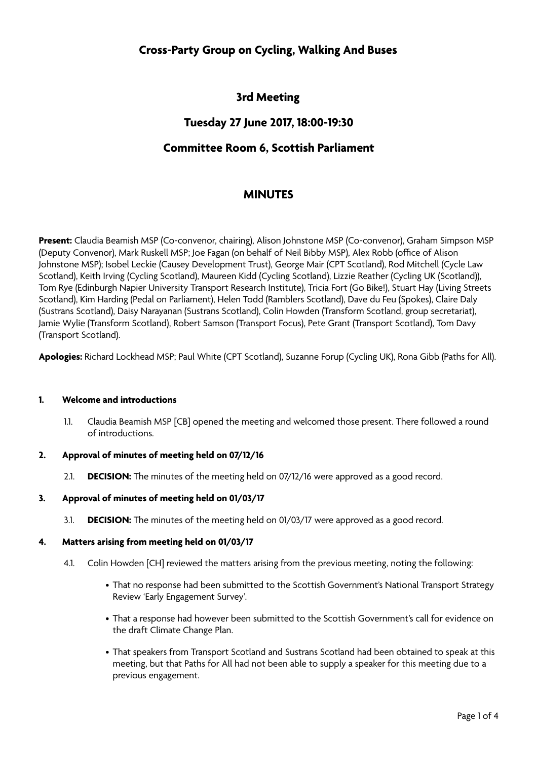# **Cross-Party Group on Cycling, Walking And Buses**

# **3rd Meeting**

## **Tuesday 27 June 2017, 18:00-19:30**

## **Committee Room 6, Scottish Parliament**

## **MINUTES**

**Present:** Claudia Beamish MSP (Co-convenor, chairing), Alison Johnstone MSP (Co-convenor), Graham Simpson MSP (Deputy Convenor), Mark Ruskell MSP; Joe Fagan (on behalf of Neil Bibby MSP), Alex Robb (office of Alison Johnstone MSP); Isobel Leckie (Causey Development Trust), George Mair (CPT Scotland), Rod Mitchell (Cycle Law Scotland), Keith Irving (Cycling Scotland), Maureen Kidd (Cycling Scotland), Lizzie Reather (Cycling UK (Scotland)), Tom Rye (Edinburgh Napier University Transport Research Institute), Tricia Fort (Go Bike!), Stuart Hay (Living Streets Scotland), Kim Harding (Pedal on Parliament), Helen Todd (Ramblers Scotland), Dave du Feu (Spokes), Claire Daly (Sustrans Scotland), Daisy Narayanan (Sustrans Scotland), Colin Howden (Transform Scotland, group secretariat), Jamie Wylie (Transform Scotland), Robert Samson (Transport Focus), Pete Grant (Transport Scotland), Tom Davy (Transport Scotland).

**Apologies:** Richard Lockhead MSP; Paul White (CPT Scotland), Suzanne Forup (Cycling UK), Rona Gibb (Paths for All).

#### **1. Welcome and introductions**

1.1. Claudia Beamish MSP [CB] opened the meeting and welcomed those present. There followed a round of introductions.

#### **2. Approval of minutes of meeting held on 07/12/16**

2.1. **DECISION:** The minutes of the meeting held on 07/12/16 were approved as a good record.

#### **3. Approval of minutes of meeting held on 01/03/17**

3.1. **DECISION:** The minutes of the meeting held on 01/03/17 were approved as a good record.

#### **4. Matters arising from meeting held on 01/03/17**

- 4.1. Colin Howden [CH] reviewed the matters arising from the previous meeting, noting the following:
	- That no response had been submitted to the Scottish Government's National Transport Strategy Review 'Early Engagement Survey'.
	- That a response had however been submitted to the Scottish Government's call for evidence on the draft Climate Change Plan.
	- That speakers from Transport Scotland and Sustrans Scotland had been obtained to speak at this meeting, but that Paths for All had not been able to supply a speaker for this meeting due to a previous engagement.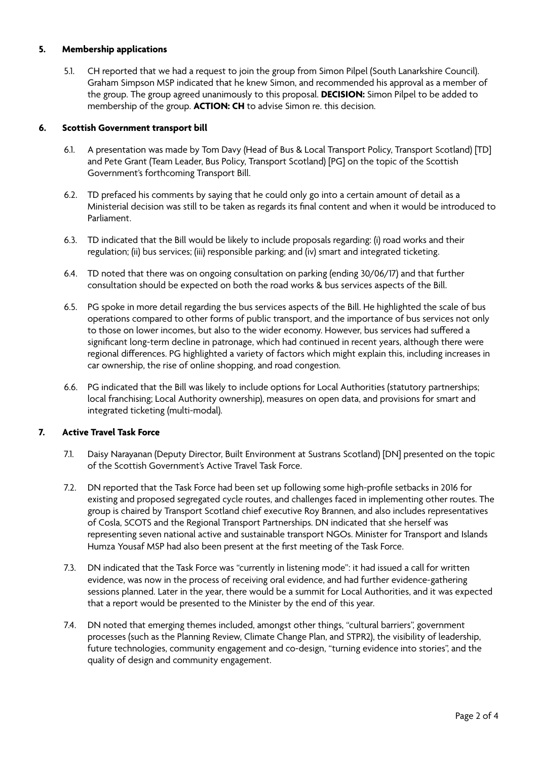#### **5. Membership applications**

5.1. CH reported that we had a request to join the group from Simon Pilpel (South Lanarkshire Council). Graham Simpson MSP indicated that he knew Simon, and recommended his approval as a member of the group. The group agreed unanimously to this proposal. **DECISION:** Simon Pilpel to be added to membership of the group. **ACTION: CH** to advise Simon re. this decision.

#### **6. Scottish Government transport bill**

- 6.1. A presentation was made by Tom Davy (Head of Bus & Local Transport Policy, Transport Scotland) [TD] and Pete Grant (Team Leader, Bus Policy, Transport Scotland) [PG] on the topic of the Scottish Government's forthcoming Transport Bill.
- 6.2. TD prefaced his comments by saying that he could only go into a certain amount of detail as a Ministerial decision was still to be taken as regards its final content and when it would be introduced to Parliament.
- 6.3. TD indicated that the Bill would be likely to include proposals regarding: (i) road works and their regulation; (ii) bus services; (iii) responsible parking; and (iv) smart and integrated ticketing.
- 6.4. TD noted that there was on ongoing consultation on parking (ending 30/06/17) and that further consultation should be expected on both the road works & bus services aspects of the Bill.
- 6.5. PG spoke in more detail regarding the bus services aspects of the Bill. He highlighted the scale of bus operations compared to other forms of public transport, and the importance of bus services not only to those on lower incomes, but also to the wider economy. However, bus services had sufered a significant long-term decline in patronage, which had continued in recent years, although there were regional diferences. PG highlighted a variety of factors which might explain this, including increases in car ownership, the rise of online shopping, and road congestion.
- 6.6. PG indicated that the Bill was likely to include options for Local Authorities (statutory partnerships; local franchising; Local Authority ownership), measures on open data, and provisions for smart and integrated ticketing (multi-modal).

### **7. Active Travel Task Force**

- 7.1. Daisy Narayanan (Deputy Director, Built Environment at Sustrans Scotland) [DN] presented on the topic of the Scottish Government's Active Travel Task Force.
- 7.2. DN reported that the Task Force had been set up following some high-profile setbacks in 2016 for existing and proposed segregated cycle routes, and challenges faced in implementing other routes. The group is chaired by Transport Scotland chief executive Roy Brannen, and also includes representatives of Cosla, SCOTS and the Regional Transport Partnerships. DN indicated that she herself was representing seven national active and sustainable transport NGOs. Minister for Transport and Islands Humza Yousaf MSP had also been present at the first meeting of the Task Force.
- 7.3. DN indicated that the Task Force was "currently in listening mode": it had issued a call for written evidence, was now in the process of receiving oral evidence, and had further evidence-gathering sessions planned. Later in the year, there would be a summit for Local Authorities, and it was expected that a report would be presented to the Minister by the end of this year.
- 7.4. DN noted that emerging themes included, amongst other things, "cultural barriers", government processes (such as the Planning Review, Climate Change Plan, and STPR2), the visibility of leadership, future technologies, community engagement and co-design, "turning evidence into stories", and the quality of design and community engagement.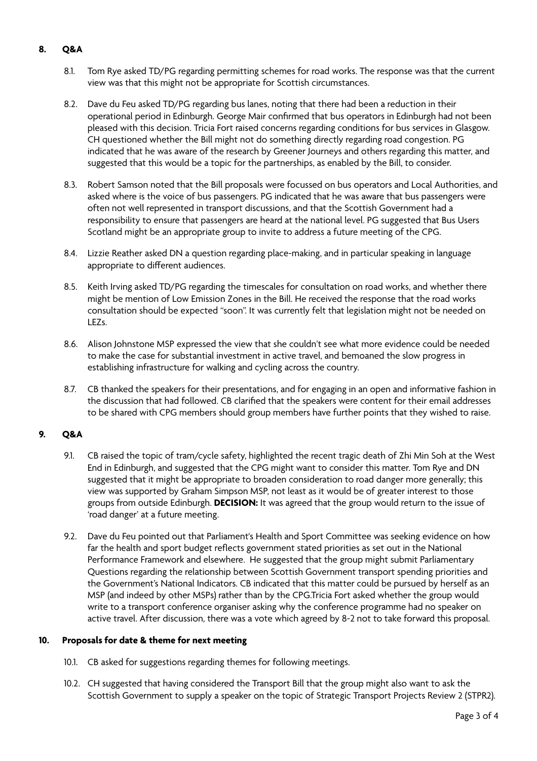### **8. Q&A**

- 8.1. Tom Rye asked TD/PG regarding permitting schemes for road works. The response was that the current view was that this might not be appropriate for Scottish circumstances.
- 8.2. Dave du Feu asked TD/PG regarding bus lanes, noting that there had been a reduction in their operational period in Edinburgh. George Mair confirmed that bus operators in Edinburgh had not been pleased with this decision. Tricia Fort raised concerns regarding conditions for bus services in Glasgow. CH questioned whether the Bill might not do something directly regarding road congestion. PG indicated that he was aware of the research by Greener Journeys and others regarding this matter, and suggested that this would be a topic for the partnerships, as enabled by the Bill, to consider.
- 8.3. Robert Samson noted that the Bill proposals were focussed on bus operators and Local Authorities, and asked where is the voice of bus passengers. PG indicated that he was aware that bus passengers were often not well represented in transport discussions, and that the Scottish Government had a responsibility to ensure that passengers are heard at the national level. PG suggested that Bus Users Scotland might be an appropriate group to invite to address a future meeting of the CPG.
- 8.4. Lizzie Reather asked DN a question regarding place-making, and in particular speaking in language appropriate to diferent audiences.
- 8.5. Keith Irving asked TD/PG regarding the timescales for consultation on road works, and whether there might be mention of Low Emission Zones in the Bill. He received the response that the road works consultation should be expected "soon". It was currently felt that legislation might not be needed on LEZs.
- 8.6. Alison Johnstone MSP expressed the view that she couldn't see what more evidence could be needed to make the case for substantial investment in active travel, and bemoaned the slow progress in establishing infrastructure for walking and cycling across the country.
- 8.7. CB thanked the speakers for their presentations, and for engaging in an open and informative fashion in the discussion that had followed. CB clarified that the speakers were content for their email addresses to be shared with CPG members should group members have further points that they wished to raise.

### **9. Q&A**

- 9.1. CB raised the topic of tram/cycle safety, highlighted the recent tragic death of Zhi Min Soh at the West End in Edinburgh, and suggested that the CPG might want to consider this matter. Tom Rye and DN suggested that it might be appropriate to broaden consideration to road danger more generally; this view was supported by Graham Simpson MSP, not least as it would be of greater interest to those groups from outside Edinburgh. **DECISION:** It was agreed that the group would return to the issue of 'road danger' at a future meeting.
- 9.2. Dave du Feu pointed out that Parliament's Health and Sport Committee was seeking evidence on how far the health and sport budget reflects government stated priorities as set out in the National Performance Framework and elsewhere. He suggested that the group might submit Parliamentary Questions regarding the relationship between Scottish Government transport spending priorities and the Government's National Indicators. CB indicated that this matter could be pursued by herself as an MSP (and indeed by other MSPs) rather than by the CPG.Tricia Fort asked whether the group would write to a transport conference organiser asking why the conference programme had no speaker on active travel. After discussion, there was a vote which agreed by 8-2 not to take forward this proposal.

#### **10. Proposals for date & theme for next meeting**

- 10.1. CB asked for suggestions regarding themes for following meetings.
- 10.2. CH suggested that having considered the Transport Bill that the group might also want to ask the Scottish Government to supply a speaker on the topic of Strategic Transport Projects Review 2 (STPR2).